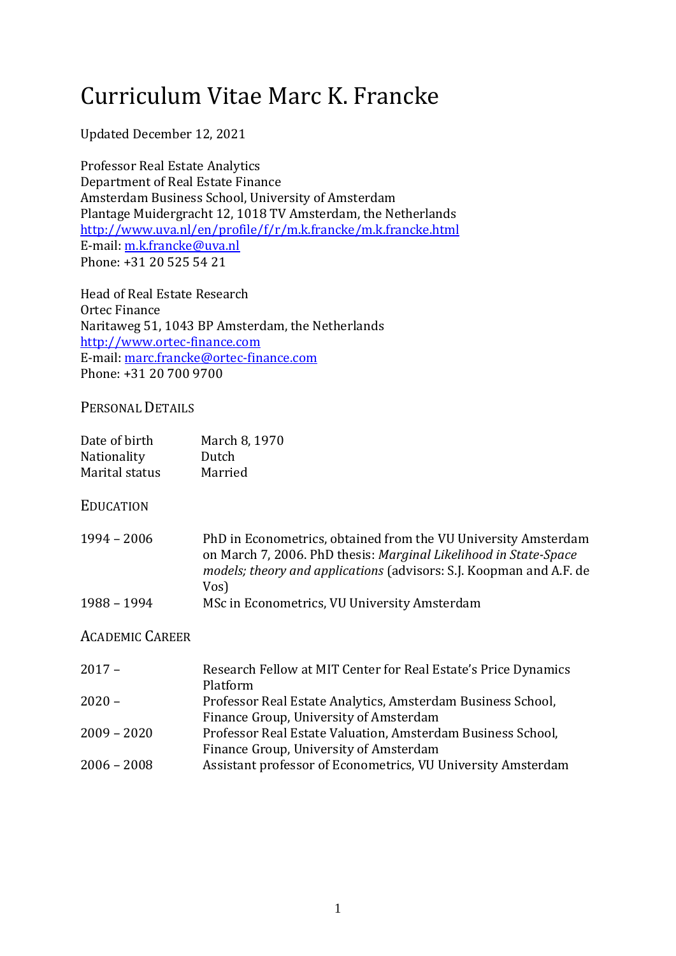# Curriculum Vitae Marc K. Francke

Updated December 12, 2021

Professor Real Estate Analytics Department of Real Estate Finance Amsterdam Business School, University of Amsterdam Plantage Muidergracht 12, 1018 TV Amsterdam, the Netherlands http://www.uva.nl/en/profile/f/r/m.k.francke/m.k.francke.html E-mail: [m.k.francke@uva.nl](mailto:m.k.francke@uva.nl) Phone: +31 20 525 54 21

Head of Real Estate Research Ortec Finance Naritaweg 51, 1043 BP Amsterdam, the Netherlands [http://www.ortec-finance.com](http://www.ortec-finance.com/) E-mail: [marc.francke@ortec-finance.com](mailto:marc.francke@ortec-finance.com) Phone: +31 20 700 9700

## PERSONAL DETAILS

| Date of birth<br>Nationality<br>Marital status | March 8, 1970<br>Dutch<br>Married                                                                                                                                                                                 |
|------------------------------------------------|-------------------------------------------------------------------------------------------------------------------------------------------------------------------------------------------------------------------|
| EDUCATION                                      |                                                                                                                                                                                                                   |
| 1994 - 2006                                    | PhD in Econometrics, obtained from the VU University Amsterdam<br>on March 7, 2006. PhD thesis: Marginal Likelihood in State-Space<br>models; theory and applications (advisors: S.J. Koopman and A.F. de<br>Vos) |
| 1988 – 1994                                    | MSc in Econometrics, VU University Amsterdam                                                                                                                                                                      |
| Academic Career                                |                                                                                                                                                                                                                   |
| $2017 -$                                       | Research Fellow at MIT Center for Real Estate's Price Dynamics<br>Platform                                                                                                                                        |
| $2020 -$                                       | Professor Real Estate Analytics, Amsterdam Business School,<br>Finance Group, University of Amsterdam                                                                                                             |
| 2009 - 2020                                    | Professor Real Estate Valuation, Amsterdam Business School,<br>Finance Group, University of Amsterdam                                                                                                             |
| 2006 - 2008                                    | Assistant professor of Econometrics, VU University Amsterdam                                                                                                                                                      |
|                                                |                                                                                                                                                                                                                   |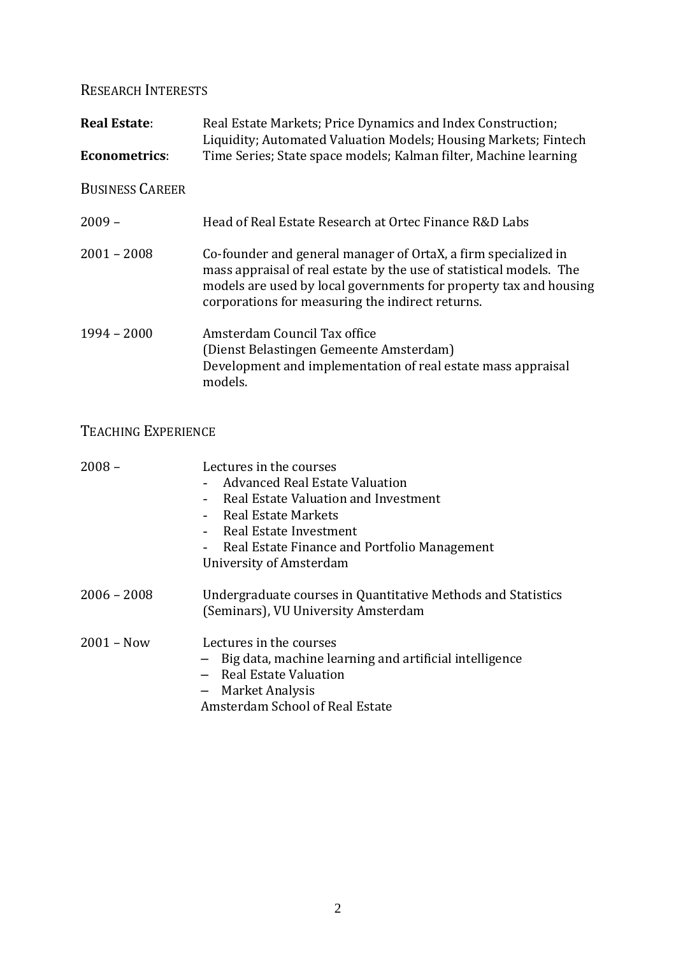RESEARCH INTERESTS

**Real Estate:** Real Estate Markets; Price Dynamics and Index Construction; Liquidity; Automated Valuation Models; Housing Markets; Fintech **Econometrics:** Time Series; State space models; Kalman filter, Machine learning BUSINESS CAREER 2009 – Head of Real Estate Research at Ortec Finance R&D Labs 2001 – 2008 Co-founder and general manager of OrtaX, a firm specialized in mass appraisal of real estate by the use of statistical models. The models are used by local governments for property tax and housing corporations for measuring the indirect returns. 1994 – 2000 Amsterdam Council Tax office (Dienst Belastingen Gemeente Amsterdam) Development and implementation of real estate mass appraisal models.

# TEACHING EXPERIENCE

| $2008 -$      | Lectures in the courses                                                                                                           |
|---------------|-----------------------------------------------------------------------------------------------------------------------------------|
|               | - Advanced Real Estate Valuation                                                                                                  |
|               | Real Estate Valuation and Investment                                                                                              |
|               | Real Estate Markets                                                                                                               |
|               | Real Estate Investment                                                                                                            |
|               | - Real Estate Finance and Portfolio Management                                                                                    |
|               | University of Amsterdam                                                                                                           |
| $2006 - 2008$ | Undergraduate courses in Quantitative Methods and Statistics<br>(Seminars), VU University Amsterdam                               |
| $2001 - Now$  | Lectures in the courses<br>Big data, machine learning and artificial intelligence<br>- Real Estate Valuation<br>- Market Analysis |
|               | Amsterdam School of Real Estate                                                                                                   |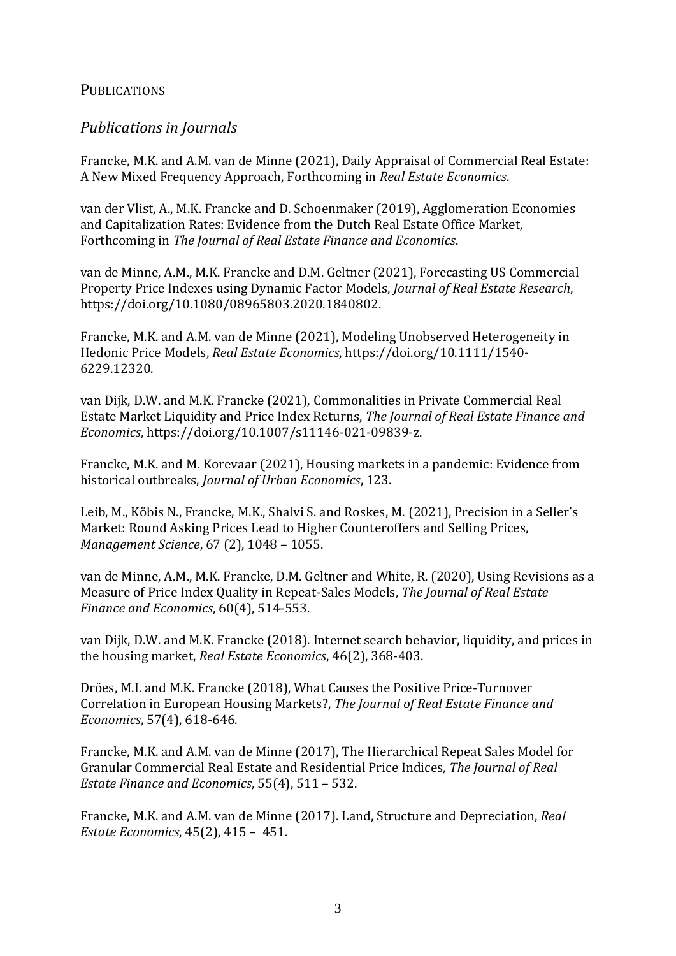### PUBLICATIONS

## *Publications in Journals*

Francke, M.K. and A.M. van de Minne (2021), Daily Appraisal of Commercial Real Estate: A New Mixed Frequency Approach, Forthcoming in *Real Estate Economics*.

van der Vlist, A., M.K. Francke and D. Schoenmaker (2019), Agglomeration Economies and Capitalization Rates: Evidence from the Dutch Real Estate Office Market, Forthcoming in *The Journal of Real Estate Finance and Economics*.

van de Minne, A.M., M.K. Francke and D.M. Geltner (2021), Forecasting US Commercial Property Price Indexes using Dynamic Factor Models, *Journal of Real Estate Research*, https://doi.org/10.1080/08965803.2020.1840802.

Francke, M.K. and A.M. van de Minne (2021), Modeling Unobserved Heterogeneity in Hedonic Price Models, *Real Estate Economics*, https://doi.org/10.1111/1540- 6229.12320.

van Dijk, D.W. and M.K. Francke (2021), Commonalities in Private Commercial Real Estate Market Liquidity and Price Index Returns, *The Journal of Real Estate Finance and Economics*, https://doi.org/10.1007/s11146-021-09839-z.

Francke, M.K. and M. Korevaar (2021), Housing markets in a pandemic: Evidence from historical outbreaks, *Journal of Urban Economics*, 123.

Leib, M., Köbis N., Francke, M.K., Shalvi S. and Roskes, M. (2021), Precision in a Seller's Market: Round Asking Prices Lead to Higher Counteroffers and Selling Prices, *Management Science*, 67 (2), 1048 – 1055.

van de Minne, A.M., M.K. Francke, D.M. Geltner and White, R. (2020), Using Revisions as a Measure of Price Index Quality in Repeat-Sales Models, *The Journal of Real Estate Finance and Economics*, 60(4), 514-553.

van Dijk, D.W. and M.K. Francke (2018). Internet search behavior, liquidity, and prices in the housing market, *Real Estate Economics*, 46(2), 368-403.

Dröes, M.I. and M.K. Francke (2018), What Causes the Positive Price-Turnover Correlation in European Housing Markets?, *The Journal of Real Estate Finance and Economics*, 57(4), 618-646.

Francke, M.K. and A.M. van de Minne (2017), The Hierarchical Repeat Sales Model for Granular Commercial Real Estate and Residential Price Indices, *The Journal of Real Estate Finance and Economics*, 55(4), 511 – 532.

Francke, M.K. and A.M. van de Minne (2017). Land, Structure and Depreciation, *Real Estate Economics*, 45(2), 415 – 451.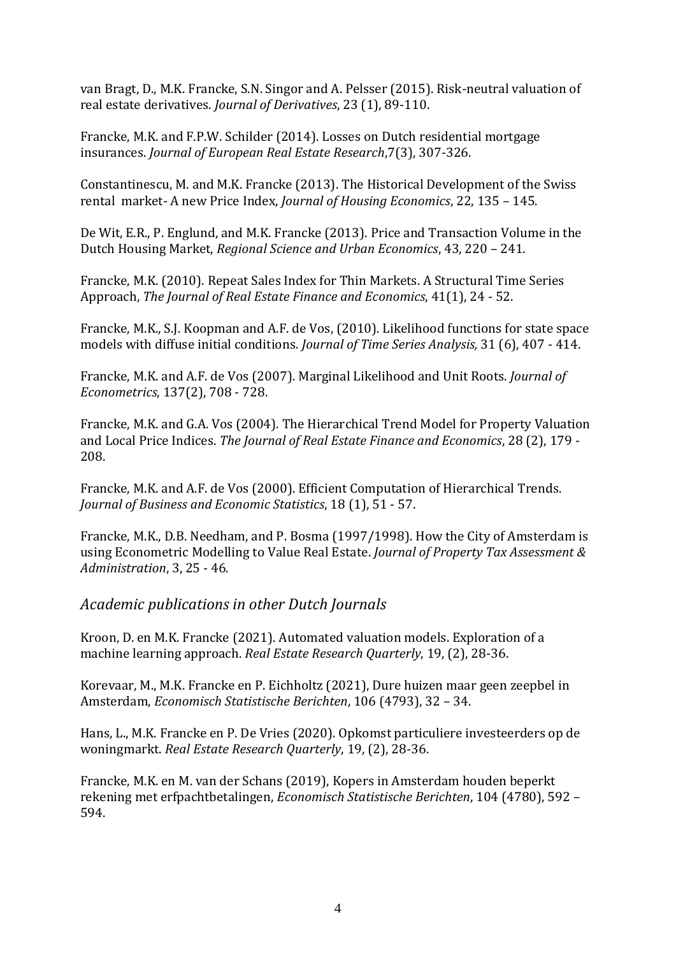van Bragt, D., M.K. Francke, S.N. Singor and A. Pelsser (2015). Risk-neutral valuation of real estate derivatives. *Journal of Derivatives*, 23 (1), 89-110.

Francke, M.K. and F.P.W. Schilder (2014). Losses on Dutch residential mortgage insurances. *Journal of European Real Estate Research*,7(3), 307-326.

Constantinescu, M. and M.K. Francke (2013). The Historical Development of the Swiss rental market- A new Price Index, *Journal of Housing Economics*, 22, 135 – 145.

De Wit, E.R., P. Englund, and M.K. Francke (2013). Price and Transaction Volume in the Dutch Housing Market, *Regional Science and Urban Economics*, 43, 220 – 241.

Francke, M.K. (2010). Repeat Sales Index for Thin Markets. A Structural Time Series Approach, *The Journal of Real Estate Finance and Economics*, 41(1), 24 - 52.

Francke, M.K., S.J. Koopman and A.F. de Vos, (2010). Likelihood functions for state space models with diffuse initial conditions. *Journal of Time Series Analysis,* 31 (6), 407 - 414.

Francke, M.K. and A.F. de Vos (2007). Marginal Likelihood and Unit Roots. *Journal of Econometrics*, 137(2), 708 - 728.

Francke, M.K. and G.A. Vos (2004). The Hierarchical Trend Model for Property Valuation and Local Price Indices. *The Journal of Real Estate Finance and Economics*, 28 (2), 179 - 208.

Francke, M.K. and A.F. de Vos (2000). Efficient Computation of Hierarchical Trends. *Journal of Business and Economic Statistics*, 18 (1), 51 - 57.

Francke, M.K., D.B. Needham, and P. Bosma (1997/1998). How the City of Amsterdam is using Econometric Modelling to Value Real Estate. *Journal of Property Tax Assessment & Administration*, 3, 25 - 46.

*Academic publications in other Dutch Journals*

Kroon, D. en M.K. Francke (2021). Automated valuation models. Exploration of a machine learning approach. *Real Estate Research Quarterly*, 19, (2), 28-36.

Korevaar, M., M.K. Francke en P. Eichholtz (2021), Dure huizen maar geen zeepbel in Amsterdam, *Economisch Statistische Berichten*, 106 (4793), 32 – 34.

Hans, L., M.K. Francke en P. De Vries (2020). Opkomst particuliere investeerders op de woningmarkt. *Real Estate Research Quarterly*, 19, (2), 28-36.

Francke, M.K. en M. van der Schans (2019), Kopers in Amsterdam houden beperkt rekening met erfpachtbetalingen, *Economisch Statistische Berichten*, 104 (4780), 592 – 594.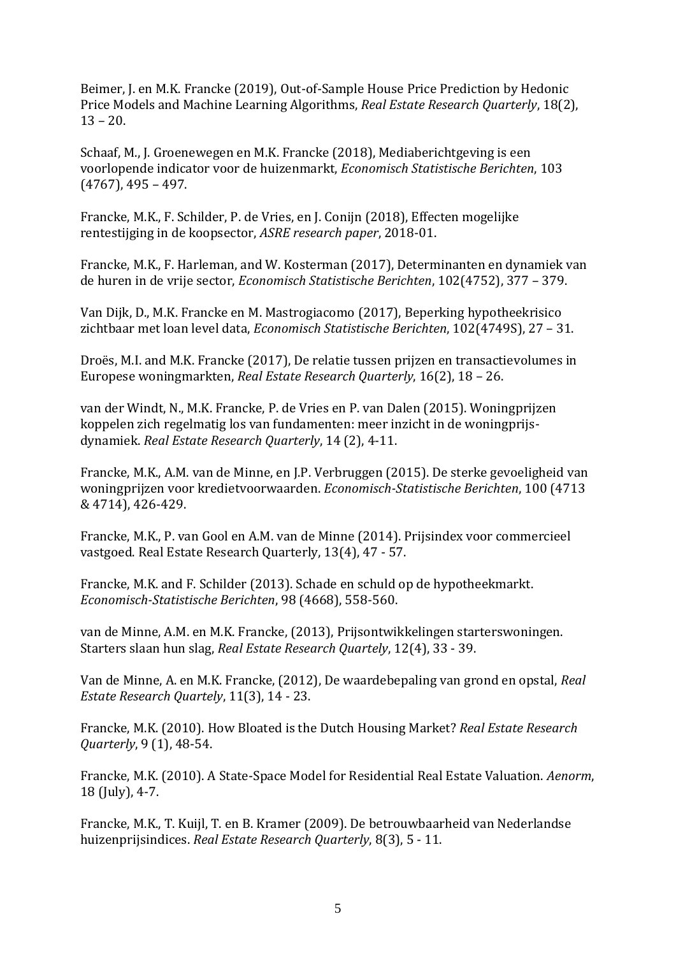Beimer, J. en M.K. Francke (2019), Out-of-Sample House Price Prediction by Hedonic Price Models and Machine Learning Algorithms, *Real Estate Research Quarterly*, 18(2),  $13 - 20.$ 

Schaaf, M., J. Groenewegen en M.K. Francke (2018), Mediaberichtgeving is een voorlopende indicator voor de huizenmarkt, *Economisch Statistische Berichten*, 103 (4767), 495 – 497.

Francke, M.K., F. Schilder, P. de Vries, en J. Conijn (2018), Effecten mogelijke rentestijging in de koopsector, *ASRE research paper*, 2018-01.

Francke, M.K., F. Harleman, and W. Kosterman (2017), Determinanten en dynamiek van de huren in de vrije sector, *Economisch Statistische Berichten*, 102(4752), 377 – 379.

Van Dijk, D., M.K. Francke en M. Mastrogiacomo (2017), Beperking hypotheekrisico zichtbaar met loan level data, *Economisch Statistische Berichten*, 102(4749S), 27 – 31.

Droës, M.I. and M.K. Francke (2017), De relatie tussen prijzen en transactievolumes in Europese woningmarkten, *Real Estate Research Quarterly*, 16(2), 18 – 26.

van der Windt, N., M.K. Francke, P. de Vries en P. van Dalen (2015). Woningprijzen koppelen zich regelmatig los van fundamenten: meer inzicht in de woningprijsdynamiek. *Real Estate Research Quarterly*, 14 (2), 4-11.

Francke, M.K., A.M. van de Minne, en J.P. Verbruggen (2015). De sterke gevoeligheid van woningprijzen voor kredietvoorwaarden. *Economisch-Statistische Berichten*, 100 (4713 & 4714), 426-429.

Francke, M.K., P. van Gool en A.M. van de Minne (2014). Prijsindex voor commercieel vastgoed. Real Estate Research Quarterly, 13(4), 47 - 57.

Francke, M.K. and F. Schilder (2013). Schade en schuld op de hypotheekmarkt. *Economisch-Statistische Berichten*, 98 (4668), 558-560.

van de Minne, A.M. en M.K. Francke, (2013), Prijsontwikkelingen starterswoningen. Starters slaan hun slag, *Real Estate Research Quartely*, 12(4), 33 - 39.

Van de Minne, A. en M.K. Francke, (2012), De waardebepaling van grond en opstal, *Real Estate Research Quartely*, 11(3), 14 - 23.

Francke, M.K. (2010). How Bloated is the Dutch Housing Market? *Real Estate Research Quarterly*, 9 (1), 48-54.

Francke, M.K. (2010). A State-Space Model for Residential Real Estate Valuation. *Aenorm*, 18 (July), 4-7.

Francke, M.K., T. Kuijl, T. en B. Kramer (2009). De betrouwbaarheid van Nederlandse huizenprijsindices. *Real Estate Research Quarterly*, 8(3), 5 - 11.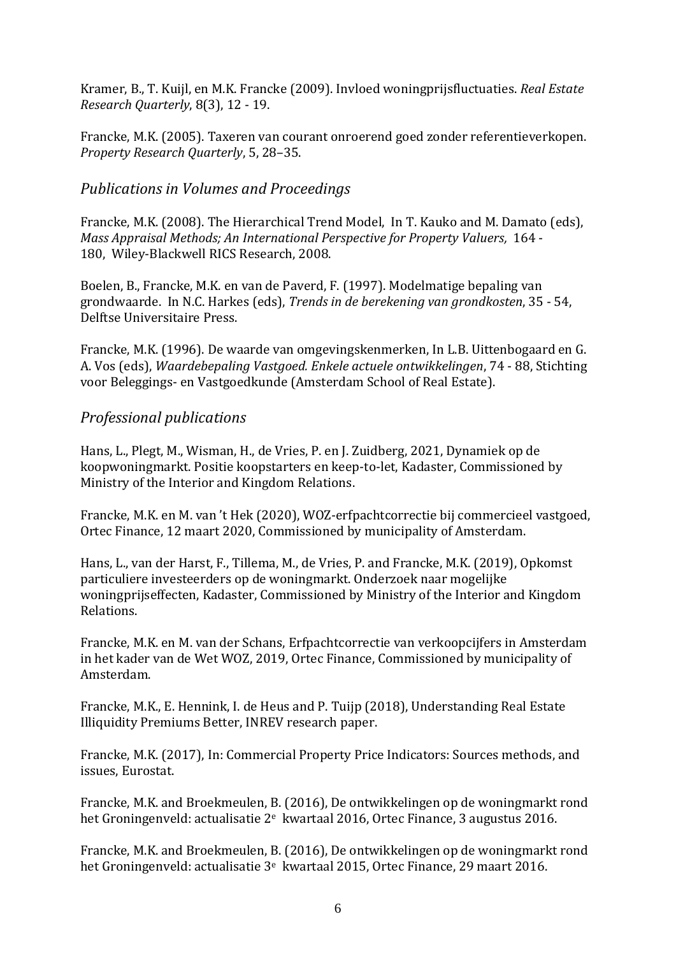Kramer, B., T. Kuijl, en M.K. Francke (2009). Invloed woningprijsfluctuaties. *Real Estate Research Quarterly*, 8(3), 12 - 19.

Francke, M.K. (2005). Taxeren van courant onroerend goed zonder referentieverkopen. *Property Research Quarterly*, 5, 28–35.

## *Publications in Volumes and Proceedings*

Francke, M.K. (2008). The Hierarchical Trend Model, In T. Kauko and M. Damato (eds), *Mass Appraisal Methods; An International Perspective for Property Valuers,* 164 - 180, Wiley-Blackwell RICS Research, 2008.

Boelen, B., Francke, M.K. en van de Paverd, F. (1997). Modelmatige bepaling van grondwaarde. In N.C. Harkes (eds), *Trends in de berekening van grondkosten*, 35 - 54, Delftse Universitaire Press.

Francke, M.K. (1996). De waarde van omgevingskenmerken, In L.B. Uittenbogaard en G. A. Vos (eds), *Waardebepaling Vastgoed. Enkele actuele ontwikkelingen*, 74 - 88, Stichting voor Beleggings- en Vastgoedkunde (Amsterdam School of Real Estate).

## *Professional publications*

Hans, L., Plegt, M., Wisman, H., de Vries, P. en J. Zuidberg, 2021, Dynamiek op de koopwoningmarkt. Positie koopstarters en keep-to-let, Kadaster, Commissioned by Ministry of the Interior and Kingdom Relations.

Francke, M.K. en M. van 't Hek (2020), WOZ-erfpachtcorrectie bij commercieel vastgoed, Ortec Finance, 12 maart 2020, Commissioned by municipality of Amsterdam.

Hans, L., van der Harst, F., Tillema, M., de Vries, P. and Francke, M.K. (2019), Opkomst particuliere investeerders op de woningmarkt. Onderzoek naar mogelijke woningprijseffecten, Kadaster, Commissioned by Ministry of the Interior and Kingdom Relations.

Francke, M.K. en M. van der Schans, Erfpachtcorrectie van verkoopcijfers in Amsterdam in het kader van de Wet WOZ, 2019, Ortec Finance, Commissioned by municipality of Amsterdam.

Francke, M.K., E. Hennink, I. de Heus and P. Tuijp (2018), Understanding Real Estate Illiquidity Premiums Better, INREV research paper.

Francke, M.K. (2017), In: Commercial Property Price Indicators: Sources methods, and issues, Eurostat.

Francke, M.K. and Broekmeulen, B. (2016), De ontwikkelingen op de woningmarkt rond het Groningenveld: actualisatie 2<sup>e</sup> kwartaal 2016, Ortec Finance, 3 augustus 2016.

Francke, M.K. and Broekmeulen, B. (2016), De ontwikkelingen op de woningmarkt rond het Groningenveld: actualisatie 3<sup>e</sup> kwartaal 2015, Ortec Finance, 29 maart 2016.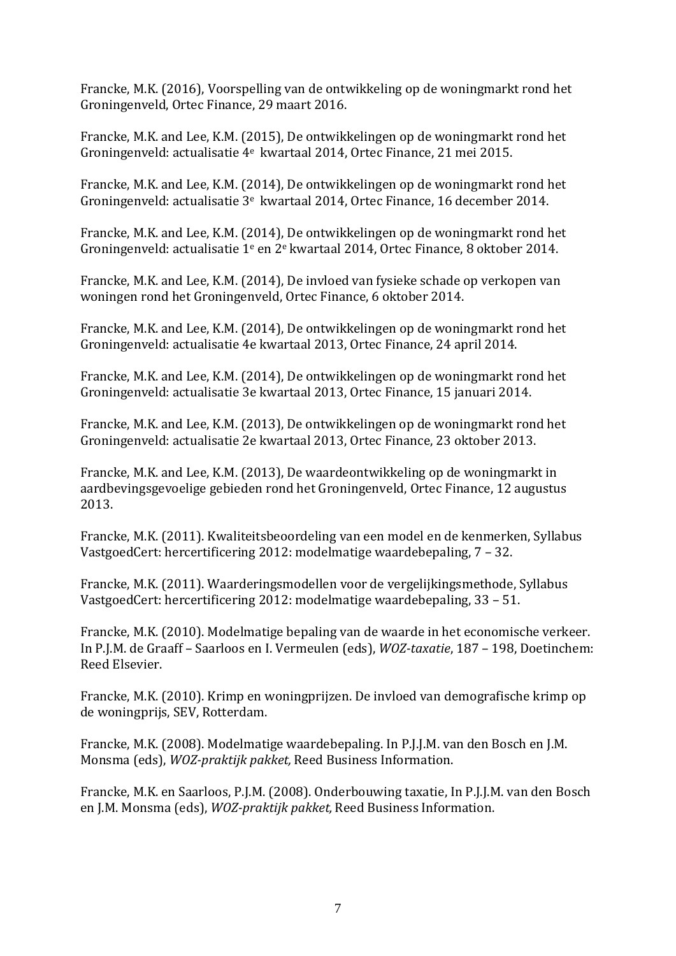Francke, M.K. (2016), Voorspelling van de ontwikkeling op de woningmarkt rond het Groningenveld, Ortec Finance, 29 maart 2016.

Francke, M.K. and Lee, K.M. (2015), De ontwikkelingen op de woningmarkt rond het Groningenveld: actualisatie 4<sup>e</sup> kwartaal 2014, Ortec Finance, 21 mei 2015.

Francke, M.K. and Lee, K.M. (2014), De ontwikkelingen op de woningmarkt rond het Groningenveld: actualisatie 3<sup>e</sup> kwartaal 2014, Ortec Finance, 16 december 2014.

Francke, M.K. and Lee, K.M. (2014), De ontwikkelingen op de woningmarkt rond het Groningenveld: actualisatie 1<sup>e</sup> en 2<sup>e</sup> kwartaal 2014, Ortec Finance, 8 oktober 2014.

Francke, M.K. and Lee, K.M. (2014), De invloed van fysieke schade op verkopen van woningen rond het Groningenveld, Ortec Finance, 6 oktober 2014.

Francke, M.K. and Lee, K.M. (2014), De ontwikkelingen op de woningmarkt rond het Groningenveld: actualisatie 4e kwartaal 2013, Ortec Finance, 24 april 2014.

Francke, M.K. and Lee, K.M. (2014), De ontwikkelingen op de woningmarkt rond het Groningenveld: actualisatie 3e kwartaal 2013, Ortec Finance, 15 januari 2014.

Francke, M.K. and Lee, K.M. (2013), De ontwikkelingen op de woningmarkt rond het Groningenveld: actualisatie 2e kwartaal 2013, Ortec Finance, 23 oktober 2013.

Francke, M.K. and Lee, K.M. (2013), De waardeontwikkeling op de woningmarkt in aardbevingsgevoelige gebieden rond het Groningenveld, Ortec Finance, 12 augustus 2013.

Francke, M.K. (2011). Kwaliteitsbeoordeling van een model en de kenmerken, Syllabus VastgoedCert: hercertificering 2012: modelmatige waardebepaling, 7 – 32.

Francke, M.K. (2011). Waarderingsmodellen voor de vergelijkingsmethode, Syllabus VastgoedCert: hercertificering 2012: modelmatige waardebepaling, 33 – 51.

Francke, M.K. (2010). Modelmatige bepaling van de waarde in het economische verkeer. In P.J.M. de Graaff – Saarloos en I. Vermeulen (eds), *WOZ-taxatie*, 187 – 198, Doetinchem: Reed Elsevier.

Francke, M.K. (2010). Krimp en woningprijzen. De invloed van demografische krimp op de woningprijs, SEV, Rotterdam.

Francke, M.K. (2008). Modelmatige waardebepaling. In P.J.J.M. van den Bosch en J.M. Monsma (eds), *WOZ-praktijk pakket,* Reed Business Information.

Francke, M.K. en Saarloos, P.J.M. (2008). Onderbouwing taxatie, In P.J.J.M. van den Bosch en J.M. Monsma (eds), *WOZ-praktijk pakket,* Reed Business Information.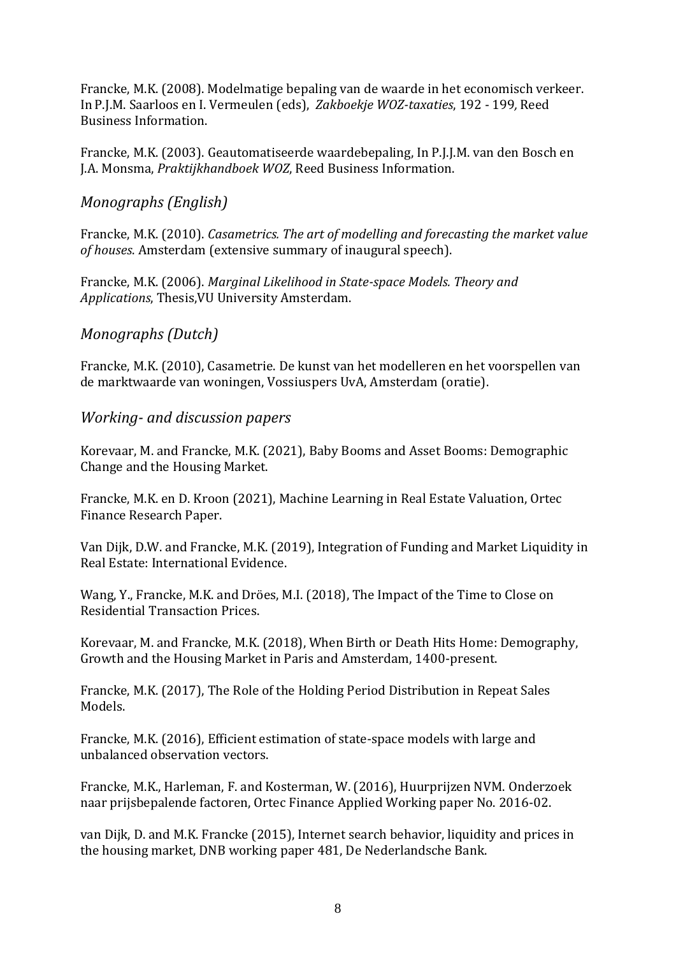Francke, M.K. (2008). Modelmatige bepaling van de waarde in het economisch verkeer. In P.J.M. Saarloos en I. Vermeulen (eds), *Zakboekje WOZ-taxaties*, 192 - 199*,* Reed Business Information.

Francke, M.K. (2003). Geautomatiseerde waardebepaling, In P.J.J.M. van den Bosch en J.A. Monsma, *Praktijkhandboek WOZ*, Reed Business Information.

# *Monographs (English)*

Francke, M.K. (2010). *Casametrics. The art of modelling and forecasting the market value of houses*. Amsterdam (extensive summary of inaugural speech).

Francke, M.K. (2006). *Marginal Likelihood in State-space Models. Theory and Applications*, Thesis,VU University Amsterdam.

# *Monographs (Dutch)*

Francke, M.K. (2010), Casametrie. De kunst van het modelleren en het voorspellen van de marktwaarde van woningen, Vossiuspers UvA, Amsterdam (oratie).

## *Working- and discussion papers*

Korevaar, M. and Francke, M.K. (2021), Baby Booms and Asset Booms: Demographic Change and the Housing Market.

Francke, M.K. en D. Kroon (2021), Machine Learning in Real Estate Valuation, Ortec Finance Research Paper.

Van Dijk, D.W. and Francke, M.K. (2019), Integration of Funding and Market Liquidity in Real Estate: International Evidence.

Wang, Y., Francke, M.K. and Dröes, M.I. (2018), The Impact of the Time to Close on Residential Transaction Prices.

Korevaar, M. and Francke, M.K. (2018), When Birth or Death Hits Home: Demography, Growth and the Housing Market in Paris and Amsterdam, 1400-present.

Francke, M.K. (2017), The Role of the Holding Period Distribution in Repeat Sales Models.

Francke, M.K. (2016), Efficient estimation of state-space models with large and unbalanced observation vectors.

Francke, M.K., Harleman, F. and Kosterman, W. (2016), Huurprijzen NVM. Onderzoek naar prijsbepalende factoren, Ortec Finance Applied Working paper No. 2016-02.

van Dijk, D. and M.K. Francke (2015), Internet search behavior, liquidity and prices in the housing market, DNB working paper 481, De Nederlandsche Bank.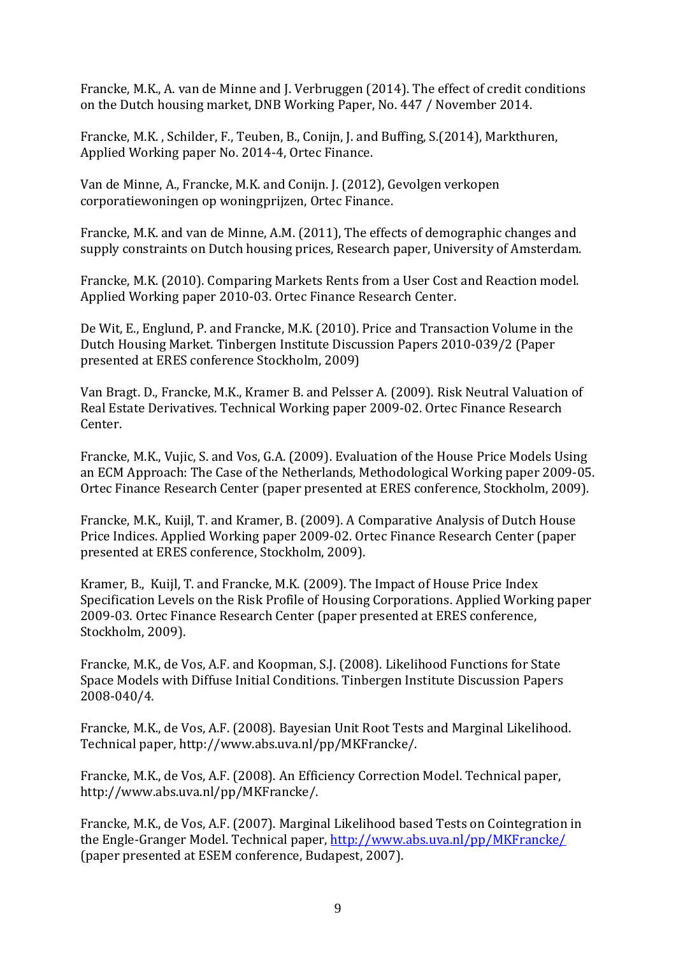Francke, M.K., A. van de Minne and J. Verbruggen (2014). The effect of credit conditions on the Dutch housing market, DNB Working Paper, No. 447 / November 2014.

Francke, M.K. , Schilder, F., Teuben, B., Conijn, J. and Buffing, S.(2014), Markthuren, Applied Working paper No. 2014-4, Ortec Finance.

Van de Minne, A., Francke, M.K. and Conijn. J. (2012), Gevolgen verkopen corporatiewoningen op woningprijzen, Ortec Finance.

Francke, M.K. and van de Minne, A.M. (2011), The effects of demographic changes and supply constraints on Dutch housing prices, Research paper, University of Amsterdam.

Francke, M.K. (2010). Comparing Markets Rents from a User Cost and Reaction model. Applied Working paper 2010-03. Ortec Finance Research Center.

De Wit, E., Englund, P. and Francke, M.K. (2010). Price and Transaction Volume in the Dutch Housing Market. Tinbergen Institute Discussion Papers 2010-039/2 (Paper presented at ERES conference Stockholm, 2009)

Van Bragt. D., Francke, M.K., Kramer B. and Pelsser A. (2009). Risk Neutral Valuation of Real Estate Derivatives. Technical Working paper 2009-02. Ortec Finance Research Center.

Francke, M.K., Vujic, S. and Vos, G.A. (2009). Evaluation of the House Price Models Using an ECM Approach: The Case of the Netherlands*,* Methodological Working paper 2009-05. Ortec Finance Research Center (paper presented at ERES conference, Stockholm, 2009).

Francke, M.K., Kuijl, T. and Kramer, B. (2009). A Comparative Analysis of Dutch House Price Indices. Applied Working paper 2009-02. Ortec Finance Research Center (paper presented at ERES conference, Stockholm, 2009).

Kramer, B., Kuijl, T. and Francke, M.K. (2009). The Impact of House Price Index Specification Levels on the Risk Profile of Housing Corporations. Applied Working paper 2009-03. Ortec Finance Research Center (paper presented at ERES conference, Stockholm, 2009).

Francke, M.K., de Vos, A.F. and Koopman, S.J. (2008). Likelihood Functions for State Space Models with Diffuse Initial Conditions. Tinbergen Institute Discussion Papers 2008-040/4*.*

Francke, M.K., de Vos, A.F. (2008). Bayesian Unit Root Tests and Marginal Likelihood. Technical paper, http://www.abs.uva.nl/pp/MKFrancke/.

Francke, M.K., de Vos, A.F. (2008). An Efficiency Correction Model. Technical paper, http://www.abs.uva.nl/pp/MKFrancke/.

Francke, M.K., de Vos, A.F. (2007). Marginal Likelihood based Tests on Cointegration in the Engle-Granger Model. Technical paper,<http://www.abs.uva.nl/pp/MKFrancke/> (paper presented at ESEM conference, Budapest, 2007).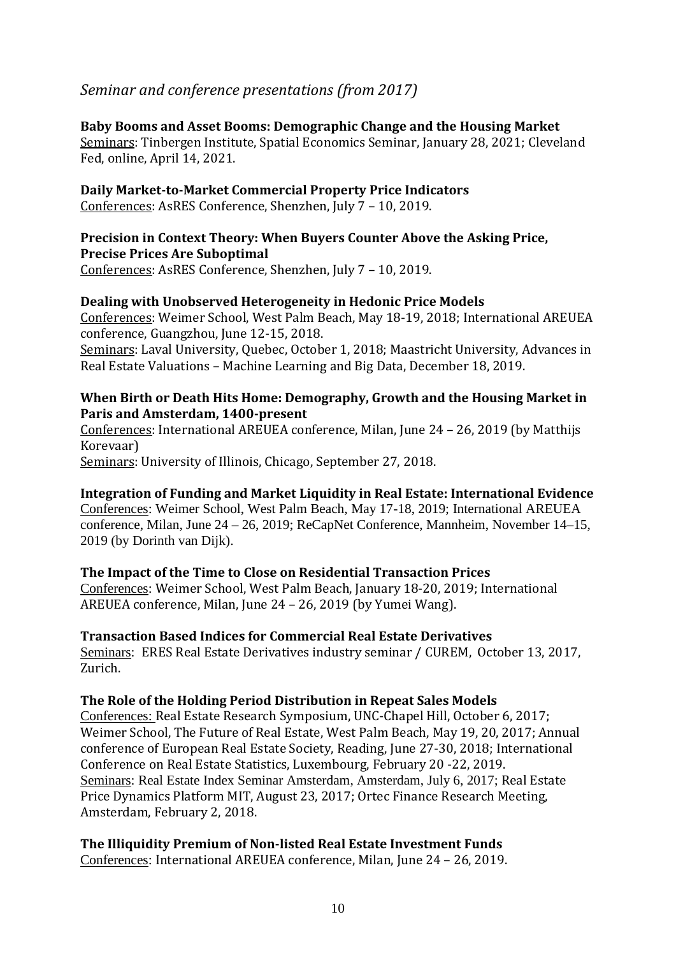# *Seminar and conference presentations (from 2017)*

#### **Baby Booms and Asset Booms: Demographic Change and the Housing Market**

Seminars: Tinbergen Institute, Spatial Economics Seminar, January 28, 2021; Cleveland Fed, online, April 14, 2021.

**Daily Market-to-Market Commercial Property Price Indicators** Conferences: AsRES Conference, Shenzhen, July 7 – 10, 2019.

#### **Precision in Context Theory: When Buyers Counter Above the Asking Price, Precise Prices Are Suboptimal**

Conferences: AsRES Conference, Shenzhen, July 7 – 10, 2019.

#### **Dealing with Unobserved Heterogeneity in Hedonic Price Models**

Conferences: Weimer School, West Palm Beach, May 18-19, 2018; International AREUEA conference, Guangzhou, June 12-15, 2018. Seminars: Laval University, Quebec, October 1, 2018; Maastricht University, Advances in

Real Estate Valuations – Machine Learning and Big Data, December 18, 2019.

#### **When Birth or Death Hits Home: Demography, Growth and the Housing Market in Paris and Amsterdam, 1400-present**

Conferences: International AREUEA conference, Milan, June 24 – 26, 2019 (by Matthijs Korevaar)

Seminars: University of Illinois, Chicago, September 27, 2018.

**Integration of Funding and Market Liquidity in Real Estate: International Evidence**  Conferences: Weimer School, West Palm Beach, May 17-18, 2019; International AREUEA conference, Milan, June 24 – 26, 2019; ReCapNet Conference, Mannheim, November 14–15, 2019 (by Dorinth van Dijk).

#### **The Impact of the Time to Close on Residential Transaction Prices**

Conferences: Weimer School, West Palm Beach, January 18-20, 2019; International AREUEA conference, Milan, June 24 – 26, 2019 (by Yumei Wang).

#### **Transaction Based Indices for Commercial Real Estate Derivatives**

Seminars: ERES Real Estate Derivatives industry seminar / CUREM, October 13, 2017, Zurich.

#### **The Role of the Holding Period Distribution in Repeat Sales Models**

Conferences: Real Estate Research Symposium, UNC-Chapel Hill, October 6, 2017; Weimer School, The Future of Real Estate, West Palm Beach, May 19, 20, 2017; Annual conference of European Real Estate Society, Reading, June 27-30, 2018; International Conference on Real Estate Statistics, Luxembourg, February 20 -22, 2019. Seminars: Real Estate Index Seminar Amsterdam, Amsterdam, July 6, 2017; Real Estate Price Dynamics Platform MIT, August 23, 2017; Ortec Finance Research Meeting, Amsterdam, February 2, 2018.

#### **The Illiquidity Premium of Non-listed Real Estate Investment Funds**

Conferences: International AREUEA conference, Milan, June 24 – 26, 2019.